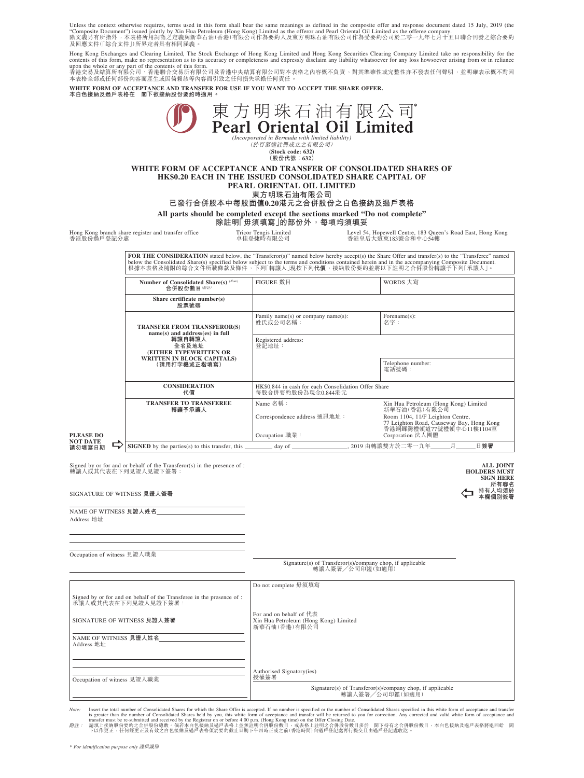Unless the context otherwise requires, terms used in this form shall bear the same meanings as defined in the composite offer and response document dated 15 July, 2019 (the<br>"Composite Document") issued jointly by Xin Hua

Hong Kong Exchanges and Clearing Limited, The Stock Exchange of Hong Kong Limited and Hong Kong Securities Clearing Company Limited take no responsibility for the<br>contents of this form, make no representation as to its acc

upon the whole or any part of the contents of this form.<br>香港交易及結算所有限公司、香港聯合交易所有限公司及香港中央結算有限公司對本表格之內容概不負責,對其準確性或完整性亦不發表任何聲明,並明確表示概不對因<br>本表格全部或任何部份內容而產生或因倚賴該等內容而引致之任何損失承擔任何責任。

**WHITE FORM OF ACCEPTANCE AND TRANSFER FOR USE IF YOU WANT TO ACCEPT THE SHARE OFFER. 本白色接納及過戶表格在 閣下欲接納股份要約時適用。**

| 平日巴接納及猶尸表俗仕<br>阁卜欲接納版衍妛剎時週用                                                                                                                                                                                                                                                                                                                                           |                                                                                          |                                                                                |                                                                                   |  |
|-----------------------------------------------------------------------------------------------------------------------------------------------------------------------------------------------------------------------------------------------------------------------------------------------------------------------------------------------------------------------|------------------------------------------------------------------------------------------|--------------------------------------------------------------------------------|-----------------------------------------------------------------------------------|--|
| 東方明珠石油有限公司<br>Pearl Oriental Oil Limited<br>(Incorporated in Bermuda with limited liability)<br>(於百慕達註冊成立之有限公司)<br>(Stock code: 632)<br>(股份代號: 632)<br>WHITE FORM OF ACCEPTANCE AND TRANSFER OF CONSOLIDATED SHARES OF<br><b>HK\$0.20 EACH IN THE ISSUED CONSOLIDATED SHARE CAPITAL OF</b><br>PEARL ORIENTAL OIL LIMITED<br>東方明珠石油有限公司                                |                                                                                          |                                                                                |                                                                                   |  |
| 已發行合併股本中每股面值0.20港元之合併股份之白色接納及過戶表格<br>All parts should be completed except the sections marked "Do not complete"                                                                                                                                                                                                                                                       |                                                                                          |                                                                                |                                                                                   |  |
| 除註明「毋須填寫  的部份外,每項均須填妥                                                                                                                                                                                                                                                                                                                                                 |                                                                                          |                                                                                |                                                                                   |  |
| 香港股份過戶登記分處                                                                                                                                                                                                                                                                                                                                                            | Hong Kong branch share register and transfer office                                      | <b>Tricor Tengis Limited</b><br>卓佳登捷時有限公司                                      | Level 54, Hopewell Centre, 183 Queen's Road East, Hong Kong<br>香港皇后大道東183號合和中心54樓 |  |
| FOR THE CONSIDERATION stated below, the "Transferor(s)" named below hereby accept(s) the Share Offer and transfer(s) to the "Transferee" named<br>below the Consolidated Share(s) specified below subject to the terms and conditions contained herein and in the accompanying Composite Document.<br>根據本表格及隨附的綜合文件所載條款及條件,下列「轉讓人」現按下列代價,接納股份要約並將以下註明之合併股份轉讓予下列「承讓人」。 |                                                                                          |                                                                                |                                                                                   |  |
|                                                                                                                                                                                                                                                                                                                                                                       | Number of Consolidated Share(s) (Note)<br>合併股份數目(附註)                                     | FIGURE 數目                                                                      | WORDS 大寫                                                                          |  |
|                                                                                                                                                                                                                                                                                                                                                                       | Share certificate number(s)<br>股票號碼                                                      |                                                                                |                                                                                   |  |
|                                                                                                                                                                                                                                                                                                                                                                       | <b>TRANSFER FROM TRANSFEROR(S)</b><br>name(s) and address(es) in full<br>轉讓自轉讓人<br>全名及地址 | Family name(s) or company name(s):<br>姓氏或公司名稱:<br>Registered address:<br>登記地址: | Forename(s):<br>名字:                                                               |  |
|                                                                                                                                                                                                                                                                                                                                                                       | (EITHER TYPEWRITTEN OR                                                                   |                                                                                |                                                                                   |  |
|                                                                                                                                                                                                                                                                                                                                                                       | <b>WRITTEN IN BLOCK CAPITALS)</b><br>(請用打字機或正楷填寫)                                        |                                                                                | Telephone number:<br>電話號碼:                                                        |  |
| <b>CONSIDERATION</b><br>代價                                                                                                                                                                                                                                                                                                                                            |                                                                                          | HK\$0.844 in cash for each Consolidation Offer Share<br>每股合併要約股份為現金0.844港元     |                                                                                   |  |
|                                                                                                                                                                                                                                                                                                                                                                       | <b>TRANSFER TO TRANSFEREE</b><br>轉讓予承讓人                                                  | Name 名稱:                                                                       | Xin Hua Petroleum (Hong Kong) Limited<br>新華石油(香港)有限公司                             |  |
|                                                                                                                                                                                                                                                                                                                                                                       |                                                                                          | Correspondence address 通訊地址:                                                   | Room 1104, 11/F Leighton Centre,<br>77 Leighton Road, Causeway Bay, Hong Kong     |  |
| <b>PLEASE DO</b><br><b>NOT DATE</b><br>請勿填寫日期                                                                                                                                                                                                                                                                                                                         |                                                                                          | Occupation 職業:                                                                 | 香港銅鑼灣禮頓道77號禮頓中心11樓1104室<br>Corporation 法人團體                                       |  |
|                                                                                                                                                                                                                                                                                                                                                                       | <b>SIGNED</b> by the parties(s) to this transfer, this                                   | day of                                                                         | 2019 由轉讓雙方於二零一九年<br>月<br>日簽署                                                      |  |
| Signed by or for and or behalf of the Transferor(s) in the presence of :<br><b>ALL JOINT</b><br>轉讓人或其代表在下列見證人見證下簽署:<br><b>HOLDERS MUST</b><br><b>SIGN HERE</b><br>所有聯名                                                                                                                                                                                                |                                                                                          |                                                                                |                                                                                   |  |
| 持有人均須於<br>SIGNATURE OF WITNESS 見證人簽署<br>本欄個別簽署                                                                                                                                                                                                                                                                                                                        |                                                                                          |                                                                                |                                                                                   |  |

NAME OF WITNESS **見證人姓名** Address 地址

Occupation of witness 見證人職業

Signature(s) of Transferor(s)/company chop, if applicable 轉讓人簽署╱公司印鑑(如適用)

|                                                                                              | Do not complete 毋須填寫                                                                                |  |
|----------------------------------------------------------------------------------------------|-----------------------------------------------------------------------------------------------------|--|
| Signed by or for and on behalf of the Transferee in the presence of :<br>承讓人或其代表在下列見證人見證下簽署: |                                                                                                     |  |
| SIGNATURE OF WITNESS 見證人簽署                                                                   | For and on behalf of $f \ddagger \ddagger$<br>Xin Hua Petroleum (Hong Kong) Limited<br>新華石油(香港)有限公司 |  |
| NAME OF WITNESS 見證人姓名<br>Address 地址                                                          |                                                                                                     |  |
|                                                                                              |                                                                                                     |  |
| Occupation of witness 見證人職業                                                                  | Authorised Signatory(ies)<br>授權簽署                                                                   |  |
|                                                                                              | Signature(s) of Transferor(s)/company chop, if applicable<br>轉讓人簽署/公司印鑑(如適用)                        |  |

Note: Insert the total number of Consolidated Shares Sor which the Share Offer is accepted. If no number is specified will be retunned of Consolidated Shares specified in this white form of acceptance and transfer was ter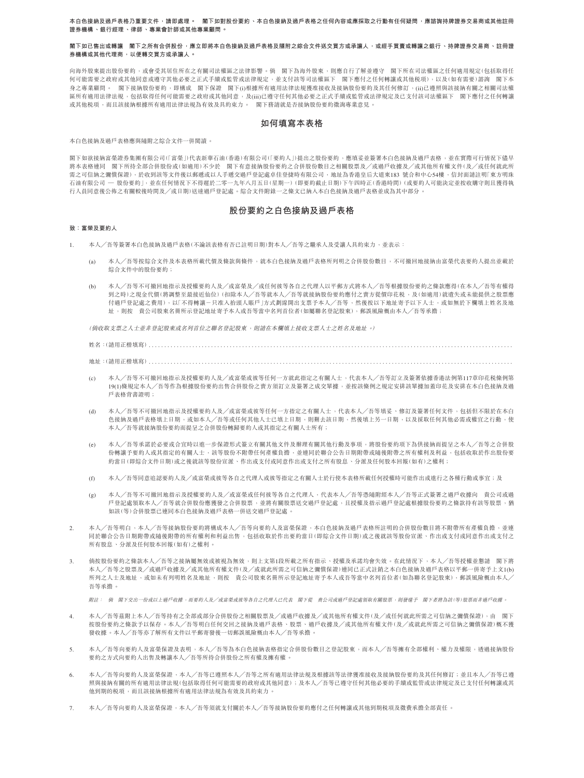**本白色接納及過戶表格乃重要文件,請即處理。 閣下如對股份要約、本白色接納及過戶表格之任何內容或應採取之行動有任何疑問,應諮詢持牌證券交易商或其他註冊 證券機構、銀行經理、律師、專業會計師或其他專業顧問。**

### **閣下如已售出或轉讓 閣下之所有合併股份,應立即將本白色接納及過戶表格及隨附之綜合文件送交買方或承讓人,或經手買賣或轉讓之銀行、持牌證券交易商、註冊證 券機構或其他代理商,以便轉交買方或承讓人。**

向海外股東提出股份要約,或會受其居住所在之有關司法權區之法律影響。倘 閣下為海外股東,則應自行了解並遵守 閣下所在司法權區之任何適用規定(包括取得任 何可能需要之政府或其他同意或遵守其他必要之正式手續或監管或法律規定,並支付該等司法權區下 閣下應付之任何轉讓或其他稅項),以及(如有需要)諮詢 閣下本 身之專業顧問。 閣下接納股份要約,即構成 閣下保證 閣下(i)根據所有適用法律法規獲准接收及接納股份要約及其任何修訂,(ii)已遵照與該接納有關之相關司法權 區所有適用法律法規,包括取得任何可能需要之政府或其他同意,及(iii)已遵守任何其他必要之正式手續或監管或法律規定及已支付該司法權區下 閣下應付之任何轉讓 或其他稅項,而且該接納根據所有適用法律法規為有效及具約束力。 閣下務請就是否接納股份要約徵詢專業意見。

# **如何填寫本表格**

本白色接納及過戶表格應與隨附之綜合文件一併閱讀。

閣下如欲接納富榮證券集團有限公司(「富榮」)代表新華石油(香港)有限公司(「要約人」)提出之股份要約,應填妥並簽署本白色接納及過戶表格,並在實際可行情況下儘早 將本表格連同 閣下所持全部合併股份或(如適用)不少於 閣下有意接納股份要約之合併股份數目之相關股票及╱或過戶收據及╱或其他所有權文件(及╱或任何就此所 需之可信納之彌償保證),於收到該等文件後以郵遞或以人手遞交過戶登記處卓佳登捷時有限公司,地址為香港皇后大道東183 號合和中心54樓,信封面請註明「東方明珠 石油有限公司 — 股份要約」,並在任何情況下不得遲於二零一九年八月五日(星期一)(即要約截止日期)下午四時正(香港時間)(或要約人可能決定並按收購守則且獲得執 行人員同意後公佈之有關較後時間及╱或日期)送達過戶登記處。綜合文件附錄一之條文已納入本白色接納及過戶表格並成為其中部分。

# **股份要約之白色接納及過戶表格**

### **致:富榮及要約人**

- 1. 本人╱吾等簽署本白色接納及過戶表格(不論該表格有否已註明日期)對本人╱吾等之繼承人及受讓人具約束力,並表示:
	- 本人/吾等按綜合文件及本表格所載代價及條款與條件,就本白色接納及過戶表格所列明之合併股份數目,不可撤回地接納由富榮代表要約人提出並載於 綜合文件中的股份要約;
	- (b) 本人╱吾等不可撤回地指示及授權要約人及╱或富榮及╱或任何彼等各自之代理人以平郵方式將本人╱吾等根據股份要約之條款應得(在本人╱吾等有權得 到之時)之現金代價(將調整至最接近仙位)(扣除本人╱吾等就本人╱吾等就接納股份要約應付之賣方從價印花稅,及(如適用)就遺失或未能提供之股票應 付過戶登記處之費用),以「不得轉讓-只准入抬頭人賬戶」方式劃線開出支票予本人╱吾等,然後按以下地址寄予以下人士,或如無於下欄填上姓名及地 址,則按 貴公司股東名冊所示登記地址寄予本人或吾等當中名列首位者(如屬聯名登記股東),郵誤風險概由本人╱吾等承擔;

(倘收取支票之人士並非登記股東或名列首位之聯名登記股東,則請在本欄填上接收支票人士之姓名及地址。)

姓名:(請用正楷填寫) .....................................................................................................................

地址:(請用正楷填寫) .....................................................................................................................

- (c) 本人╱吾等不可撤回地指示及授權要約人及╱或富榮或彼等任何一方就此指定之有關人士,代表本人╱吾等訂立及簽署依據香港法例第117章印花稅條例第 19(1)條規定本人╱吾等作為根據股份要約出售合併股份之賣方須訂立及簽署之成交單據,並按該條例之規定安排該單據加蓋印花及安排在本白色接納及過 戶表格背書證明;
- (d) 本人╱吾等不可撤回地指示及授權要約人及╱或富榮或彼等任何一方指定之有關人士,代表本人╱吾等填妥、修訂及簽署任何文件,包括但不限於在本白 色接納及過戶表格填上日期,或如本人/吾等或任何其他人士已填上日期,則刪去該日期,然後填上另一日期,以及採取任何其他必需或權宜之行動,使 本人╱吾等就接納股份要約而提呈之合併股份轉歸要約人或其指定之有關人士所有;
- (e) 本人╱吾等承諾於必要或合宜時以進一步保證形式簽立有關其他文件及辦理有關其他行動及事項,將股份要約項下為供接納而提呈之本人╱吾等之合併股 份轉讓予要約人或其指定的有關人士,該等股份不附帶任何產權負擔,並連同於聯合公告日期附帶或隨後附帶之所有權利及利益,包括收取於作出股份要 約當日(即綜合文件日期)或之後就該等股份宣派、作出或支付或同意作出或支付之所有股息、分派及任何股本回報(如有)之權利;
- (f) 本人╱吾等同意追認要約人及╱或富榮或彼等各自之代理人或彼等指定之有關人士於行使本表格所載任何授權時可能作出或進行之各種行動或事宜;及
- (g) 本人╱吾等不可撤回地指示及授權要約人及╱或富榮或任何彼等各自之代理人,代表本人╱吾等憑隨附經本人╱吾等正式簽署之過戶收據向 貴公司或過 戶登記處領取本人╱吾等就合併股份應獲發之合併股票,並將有關股票送交過戶登記處,且授權及指示過戶登記處根據股份要約之條款持有該等股票,猶 如該(等)合併股票已連同本白色接納及過戶表格一併送交過戶登記處。
- 2. 本人╱吾等明白,本人╱吾等接納股份要約將構成本人╱吾等向要約人及富榮保證,本白色接納及過戶表格所註明的合併股份數目將不附帶所有產權負擔,並連 同於聯合公告日期附帶或隨後附帶的所有權利和利益出售,包括收取於作出要約當日(即綜合文件日期)或之後就該等股份宣派、作出或支付或同意作出或支付之 所有股息、分派及任何股本回報(如有)之權利。
- 3. 倘按股份要約之條款本人╱吾等之接納屬無效或被視為無效,則上文第1段所載之所有指示、授權及承諾均會失效。在此情況下,本人╱吾等授權並懇請 閣下將 本人╱吾等之股票及╱或過戶收據及╱或其他所有權文件(及╱或就此所需之可信納之彌償保證)連同已正式註銷之本白色接納及過戶表格以平郵一併寄予上文1(b) 所列之人士及地址,或如未有列明姓名及地址,則按 貴公司股東名冊所示登記地址寄予本人或吾等當中名列首位者(如為聯名登記股東),郵誤風險概由本人 吾等承擔。

附註: 倘 閣下交出一份或以上過戶收據,而要約人及╱或富榮或彼等各自之代理人已代表 閣下從 貴公司或過戶登記處領取有關股票,則發還予 閣下者將為該(等)股票而非過戶收據。

- 4. 本人╱吾等茲附上本人╱吾等持有之全部或部分合併股份之相關股票及╱或過戶收據及╱或其他所有權文件(及╱或任何就此所需之可信納之彌償保證),由 閣下 按股份要約之條款予以保存。本人╱吾等明白任何交回之接納及過戶表格、股票、過戶收據及╱或其他所有權文件(及╱或就此所需之可信納之彌償保證)概不獲 發收據。本人╱吾等亦了解所有文件以平郵寄發後一切郵誤風險概由本人╱吾等承擔。
- 5. 本人╱吾等向要約人及富拳保證及表明,本人╱吾等為本白色接纳夷格指定合併股份數目之登記股東,而本人╱至等擁有全部權利、權力及權限,透過接納股份 要約之方式向要約人出售及轉讓本人╱吾等所持合併股份之所有權及擁有權。
- 6. 本人╱吾等向要約人及富榮保證,本人╱吾等已遵照本人╱吾等之所有適用法律法規及根據該等法律獲准接收及接納股份要約及其任何修訂;並且本人╱吾等已遵 照與接納有關的所有適用法律法規(包括取得任何可能需要的政府或其他同意);及本人╱吾等已遵守任何其他必要的手續或監管或法律規定及已支付任何轉讓或其 他到期的稅項,而且該接納根據所有適用法律法規為有效及具約束力。
- 7. 本人╱吾等向要約人及富榮保證,本人╱吾等須就支付關於本人╱吾等接納股份要約應付之任何轉讓或其他到期稅項及徵費承擔全部責任。